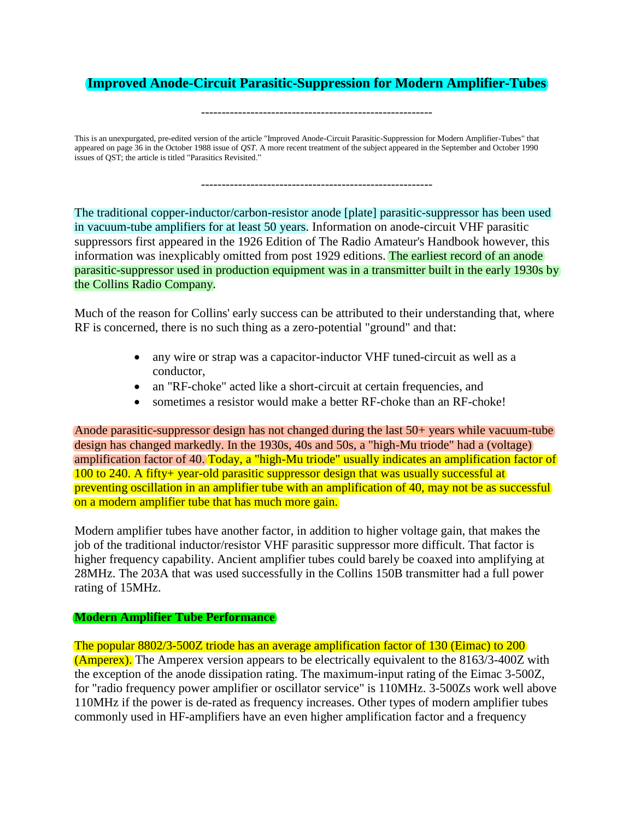# **Improved Anode-Circuit Parasitic-Suppression for Modern Amplifier-Tubes**

--------------------------------------------------------

This is an unexpurgated, pre-edited version of the article "Improved Anode-Circuit Parasitic-Suppression for Modern Amplifier-Tubes" that appeared on page 36 in the October 1988 issue of *QST*. A more recent treatment of the subject appeared in the September and October 1990 issues of QST; the article is titled "Parasitics Revisited."

--------------------------------------------------------

The traditional copper-inductor/carbon-resistor anode [plate] parasitic-suppressor has been used in vacuum-tube amplifiers for at least 50 years. Information on anode-circuit VHF parasitic suppressors first appeared in the 1926 Edition of The Radio Amateur's Handbook however, this information was inexplicably omitted from post 1929 editions. The earliest record of an anode parasitic-suppressor used in production equipment was in a transmitter built in the early 1930s by the Collins Radio Company.

Much of the reason for Collins' early success can be attributed to their understanding that, where RF is concerned, there is no such thing as a zero-potential "ground" and that:

- any wire or strap was a capacitor-inductor VHF tuned-circuit as well as a conductor,
- an "RF-choke" acted like a short-circuit at certain frequencies, and
- sometimes a resistor would make a better RF-choke than an RF-choke!

Anode parasitic-suppressor design has not changed during the last 50+ years while vacuum-tube design has changed markedly. In the 1930s, 40s and 50s, a "high-Mu triode" had a (voltage) amplification factor of 40. Today, a "high-Mu triode" usually indicates an amplification factor of 100 to 240. A fifty+ year-old parasitic suppressor design that was usually successful at preventing oscillation in an amplifier tube with an amplification of 40, may not be as successful on a modern amplifier tube that has much more gain.

Modern amplifier tubes have another factor, in addition to higher voltage gain, that makes the job of the traditional inductor/resistor VHF parasitic suppressor more difficult. That factor is higher frequency capability. Ancient amplifier tubes could barely be coaxed into amplifying at 28MHz. The 203A that was used successfully in the Collins 150B transmitter had a full power rating of 15MHz.

#### **Modern Amplifier Tube Performance**

The popular 8802/3-500Z triode has an average amplification factor of 130 (Eimac) to 200 (Amperex). The Amperex version appears to be electrically equivalent to the 8163/3-400Z with the exception of the anode dissipation rating. The maximum-input rating of the Eimac 3-500Z, for "radio frequency power amplifier or oscillator service" is 110MHz. 3-500Zs work well above 110MHz if the power is de-rated as frequency increases. Other types of modern amplifier tubes commonly used in HF-amplifiers have an even higher amplification factor and a frequency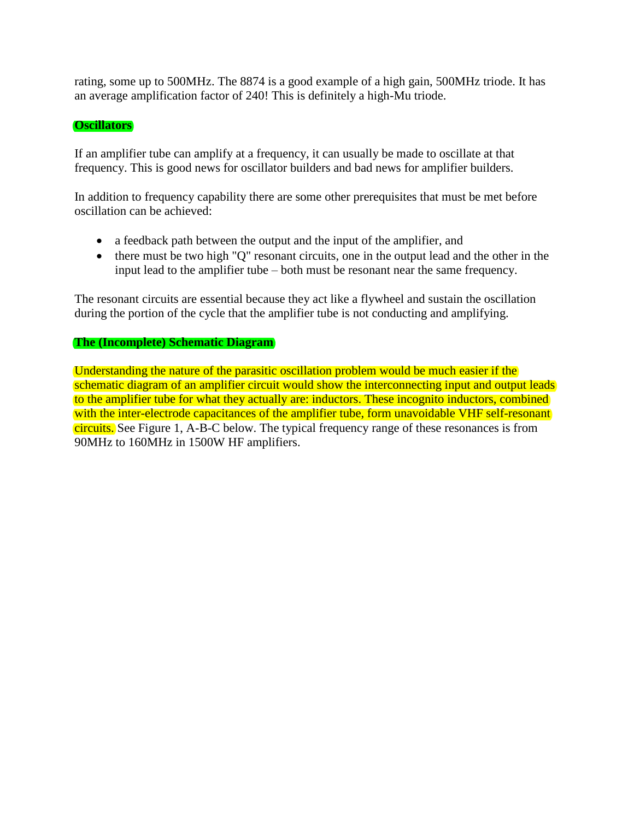rating, some up to 500MHz. The 8874 is a good example of a high gain, 500MHz triode. It has an average amplification factor of 240! This is definitely a high-Mu triode.

#### **Oscillators**

If an amplifier tube can amplify at a frequency, it can usually be made to oscillate at that frequency. This is good news for oscillator builders and bad news for amplifier builders.

In addition to frequency capability there are some other prerequisites that must be met before oscillation can be achieved:

- a feedback path between the output and the input of the amplifier, and
- there must be two high "Q" resonant circuits, one in the output lead and the other in the input lead to the amplifier tube – both must be resonant near the same frequency.

The resonant circuits are essential because they act like a flywheel and sustain the oscillation during the portion of the cycle that the amplifier tube is not conducting and amplifying.

# **The (Incomplete) Schematic Diagram**

Understanding the nature of the parasitic oscillation problem would be much easier if the schematic diagram of an amplifier circuit would show the interconnecting input and output leads to the amplifier tube for what they actually are: inductors. These incognito inductors, combined with the inter-electrode capacitances of the amplifier tube, form unavoidable VHF self-resonant circuits. See Figure 1, A-B-C below. The typical frequency range of these resonances is from 90MHz to 160MHz in 1500W HF amplifiers.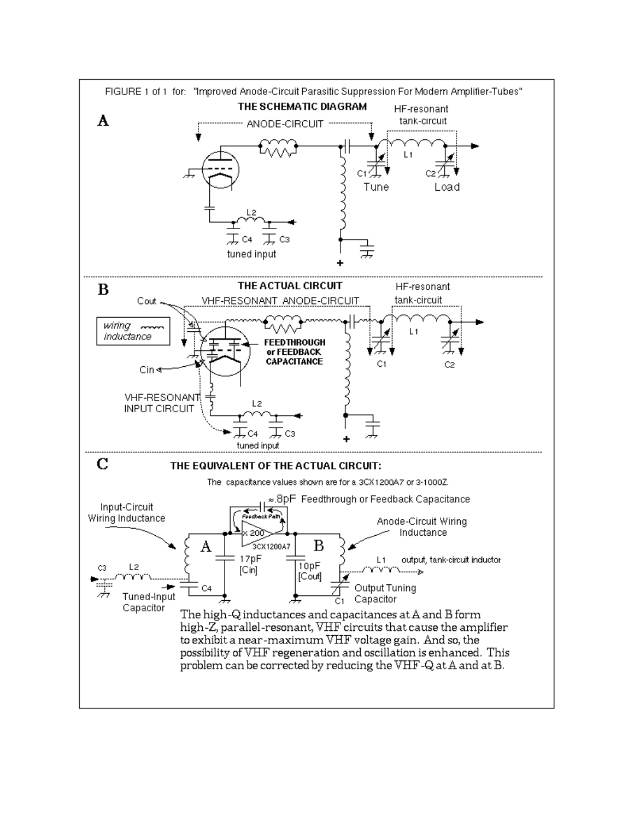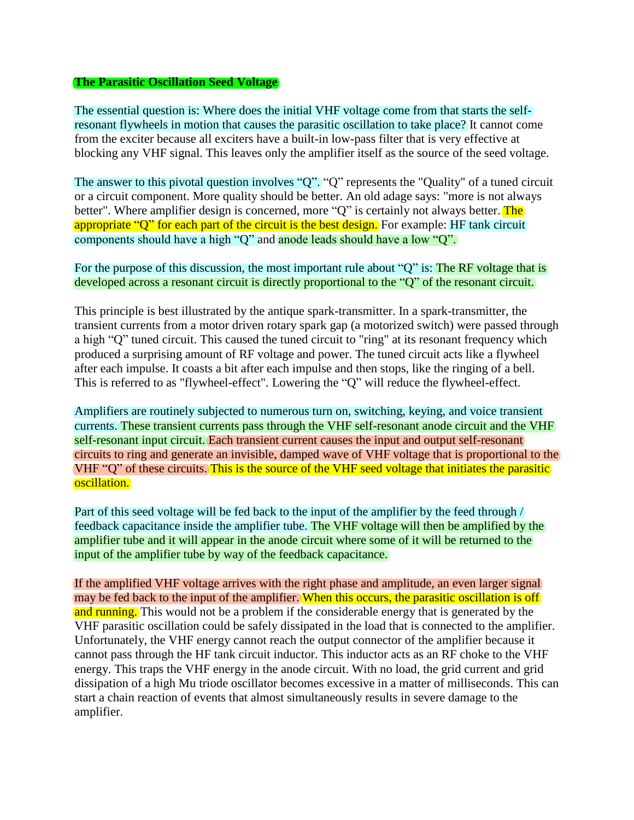#### **The Parasitic Oscillation Seed Voltage**

The essential question is: Where does the initial VHF voltage come from that starts the selfresonant flywheels in motion that causes the parasitic oscillation to take place? It cannot come from the exciter because all exciters have a built-in low-pass filter that is very effective at blocking any VHF signal. This leaves only the amplifier itself as the source of the seed voltage.

The answer to this pivotal question involves "Q". "Q" represents the "Quality" of a tuned circuit or a circuit component. More quality should be better. An old adage says: "more is not always better". Where amplifier design is concerned, more "Q" is certainly not always better. The appropriate "Q" for each part of the circuit is the best design. For example: HF tank circuit components should have a high "Q" and anode leads should have a low "Q".

# For the purpose of this discussion, the most important rule about "Q" is: The RF voltage that is developed across a resonant circuit is directly proportional to the "Q" of the resonant circuit.

This principle is best illustrated by the antique spark-transmitter. In a spark-transmitter, the transient currents from a motor driven rotary spark gap (a motorized switch) were passed through a high "Q" tuned circuit. This caused the tuned circuit to "ring" at its resonant frequency which produced a surprising amount of RF voltage and power. The tuned circuit acts like a flywheel after each impulse. It coasts a bit after each impulse and then stops, like the ringing of a bell. This is referred to as "flywheel-effect". Lowering the "Q" will reduce the flywheel-effect.

Amplifiers are routinely subjected to numerous turn on, switching, keying, and voice transient currents. These transient currents pass through the VHF self-resonant anode circuit and the VHF self-resonant input circuit. Each transient current causes the input and output self-resonant circuits to ring and generate an invisible, damped wave of VHF voltage that is proportional to the VHF "Q" of these circuits. This is the source of the VHF seed voltage that initiates the parasitic oscillation.

Part of this seed voltage will be fed back to the input of the amplifier by the feed through / feedback capacitance inside the amplifier tube. The VHF voltage will then be amplified by the amplifier tube and it will appear in the anode circuit where some of it will be returned to the input of the amplifier tube by way of the feedback capacitance.

If the amplified VHF voltage arrives with the right phase and amplitude, an even larger signal may be fed back to the input of the amplifier. When this occurs, the parasitic oscillation is off and running. This would not be a problem if the considerable energy that is generated by the VHF parasitic oscillation could be safely dissipated in the load that is connected to the amplifier. Unfortunately, the VHF energy cannot reach the output connector of the amplifier because it cannot pass through the HF tank circuit inductor. This inductor acts as an RF choke to the VHF energy. This traps the VHF energy in the anode circuit. With no load, the grid current and grid dissipation of a high Mu triode oscillator becomes excessive in a matter of milliseconds. This can start a chain reaction of events that almost simultaneously results in severe damage to the amplifier.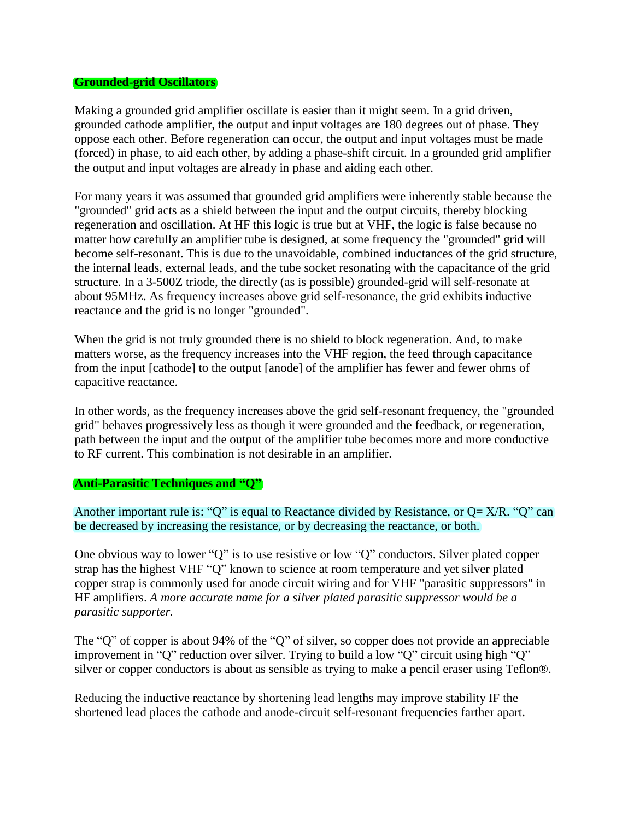#### **Grounded-grid Oscillators**

Making a grounded grid amplifier oscillate is easier than it might seem. In a grid driven, grounded cathode amplifier, the output and input voltages are 180 degrees out of phase. They oppose each other. Before regeneration can occur, the output and input voltages must be made (forced) in phase, to aid each other, by adding a phase-shift circuit. In a grounded grid amplifier the output and input voltages are already in phase and aiding each other.

For many years it was assumed that grounded grid amplifiers were inherently stable because the "grounded" grid acts as a shield between the input and the output circuits, thereby blocking regeneration and oscillation. At HF this logic is true but at VHF, the logic is false because no matter how carefully an amplifier tube is designed, at some frequency the "grounded" grid will become self-resonant. This is due to the unavoidable, combined inductances of the grid structure, the internal leads, external leads, and the tube socket resonating with the capacitance of the grid structure. In a 3-500Z triode, the directly (as is possible) grounded-grid will self-resonate at about 95MHz. As frequency increases above grid self-resonance, the grid exhibits inductive reactance and the grid is no longer "grounded".

When the grid is not truly grounded there is no shield to block regeneration. And, to make matters worse, as the frequency increases into the VHF region, the feed through capacitance from the input [cathode] to the output [anode] of the amplifier has fewer and fewer ohms of capacitive reactance.

In other words, as the frequency increases above the grid self-resonant frequency, the "grounded grid" behaves progressively less as though it were grounded and the feedback, or regeneration, path between the input and the output of the amplifier tube becomes more and more conductive to RF current. This combination is not desirable in an amplifier.

#### **Anti-Parasitic Techniques and "Q"**

Another important rule is: "Q" is equal to Reactance divided by Resistance, or  $Q = X/R$ . "Q" can be decreased by increasing the resistance, or by decreasing the reactance, or both.

One obvious way to lower "Q" is to use resistive or low "Q" conductors. Silver plated copper strap has the highest VHF "Q" known to science at room temperature and yet silver plated copper strap is commonly used for anode circuit wiring and for VHF "parasitic suppressors" in HF amplifiers. *A more accurate name for a silver plated parasitic suppressor would be a parasitic supporter.*

The "Q" of copper is about 94% of the "Q" of silver, so copper does not provide an appreciable improvement in "Q" reduction over silver. Trying to build a low "Q" circuit using high "Q" silver or copper conductors is about as sensible as trying to make a pencil eraser using Teflon®.

Reducing the inductive reactance by shortening lead lengths may improve stability IF the shortened lead places the cathode and anode-circuit self-resonant frequencies farther apart.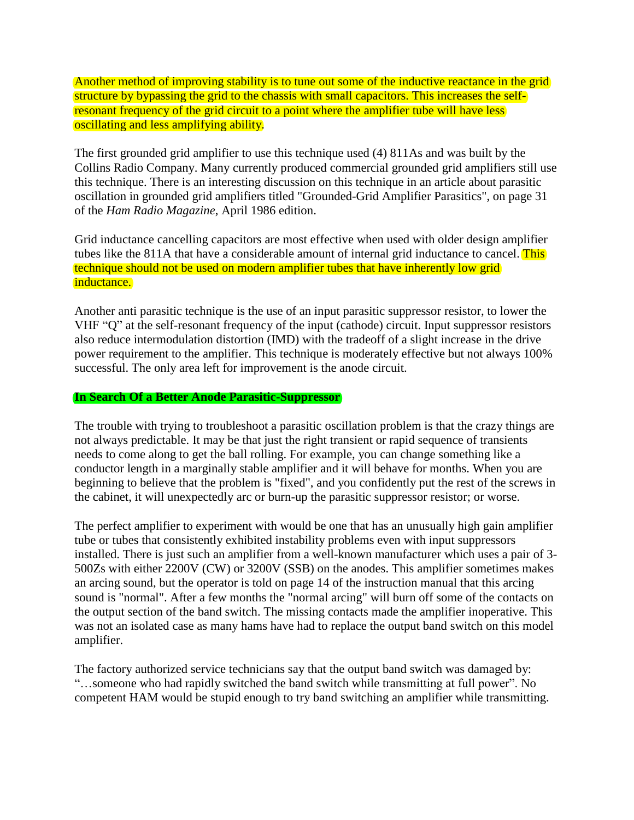Another method of improving stability is to tune out some of the inductive reactance in the grid structure by bypassing the grid to the chassis with small capacitors. This increases the selfresonant frequency of the grid circuit to a point where the amplifier tube will have less oscillating and less amplifying ability.

The first grounded grid amplifier to use this technique used (4) 811As and was built by the Collins Radio Company. Many currently produced commercial grounded grid amplifiers still use this technique. There is an interesting discussion on this technique in an article about parasitic oscillation in grounded grid amplifiers titled "Grounded-Grid Amplifier Parasitics", on page 31 of the *Ham Radio Magazine*, April 1986 edition.

Grid inductance cancelling capacitors are most effective when used with older design amplifier tubes like the 811A that have a considerable amount of internal grid inductance to cancel. This technique should not be used on modern amplifier tubes that have inherently low grid inductance.

Another anti parasitic technique is the use of an input parasitic suppressor resistor, to lower the VHF "Q" at the self-resonant frequency of the input (cathode) circuit. Input suppressor resistors also reduce intermodulation distortion (IMD) with the tradeoff of a slight increase in the drive power requirement to the amplifier. This technique is moderately effective but not always 100% successful. The only area left for improvement is the anode circuit.

# **In Search Of a Better Anode Parasitic-Suppressor**

The trouble with trying to troubleshoot a parasitic oscillation problem is that the crazy things are not always predictable. It may be that just the right transient or rapid sequence of transients needs to come along to get the ball rolling. For example, you can change something like a conductor length in a marginally stable amplifier and it will behave for months. When you are beginning to believe that the problem is "fixed", and you confidently put the rest of the screws in the cabinet, it will unexpectedly arc or burn-up the parasitic suppressor resistor; or worse.

The perfect amplifier to experiment with would be one that has an unusually high gain amplifier tube or tubes that consistently exhibited instability problems even with input suppressors installed. There is just such an amplifier from a well-known manufacturer which uses a pair of 3- 500Zs with either 2200V (CW) or 3200V (SSB) on the anodes. This amplifier sometimes makes an arcing sound, but the operator is told on page 14 of the instruction manual that this arcing sound is "normal". After a few months the "normal arcing" will burn off some of the contacts on the output section of the band switch. The missing contacts made the amplifier inoperative. This was not an isolated case as many hams have had to replace the output band switch on this model amplifier.

The factory authorized service technicians say that the output band switch was damaged by: "…someone who had rapidly switched the band switch while transmitting at full power". No competent HAM would be stupid enough to try band switching an amplifier while transmitting.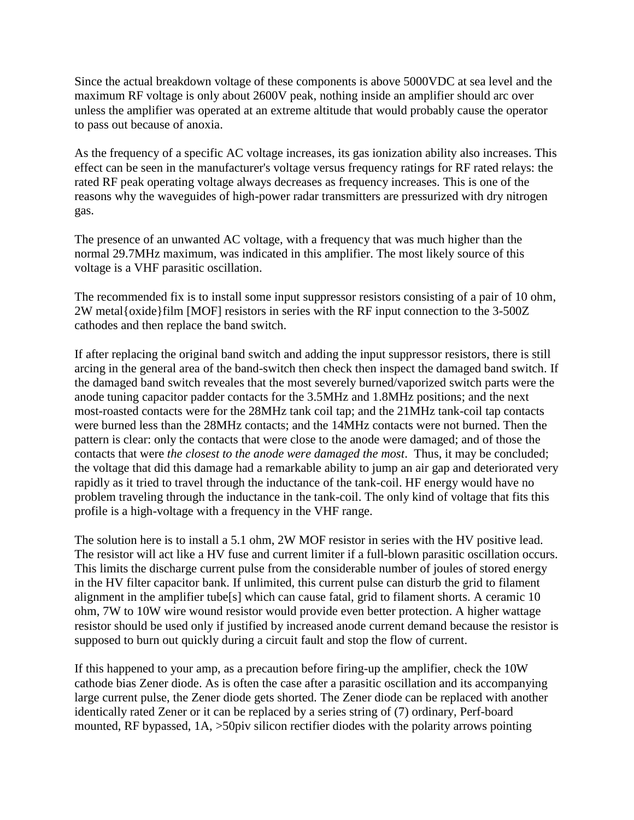Since the actual breakdown voltage of these components is above 5000VDC at sea level and the maximum RF voltage is only about 2600V peak, nothing inside an amplifier should arc over unless the amplifier was operated at an extreme altitude that would probably cause the operator to pass out because of anoxia.

As the frequency of a specific AC voltage increases, its gas ionization ability also increases. This effect can be seen in the manufacturer's voltage versus frequency ratings for RF rated relays: the rated RF peak operating voltage always decreases as frequency increases. This is one of the reasons why the waveguides of high-power radar transmitters are pressurized with dry nitrogen gas.

The presence of an unwanted AC voltage, with a frequency that was much higher than the normal 29.7MHz maximum, was indicated in this amplifier. The most likely source of this voltage is a VHF parasitic oscillation.

The recommended fix is to install some input suppressor resistors consisting of a pair of 10 ohm, 2W metal{oxide}film [MOF] resistors in series with the RF input connection to the 3-500Z cathodes and then replace the band switch.

If after replacing the original band switch and adding the input suppressor resistors, there is still arcing in the general area of the band-switch then check then inspect the damaged band switch. If the damaged band switch reveales that the most severely burned/vaporized switch parts were the anode tuning capacitor padder contacts for the 3.5MHz and 1.8MHz positions; and the next most-roasted contacts were for the 28MHz tank coil tap; and the 21MHz tank-coil tap contacts were burned less than the 28MHz contacts; and the 14MHz contacts were not burned. Then the pattern is clear: only the contacts that were close to the anode were damaged; and of those the contacts that were *the closest to the anode were damaged the most*. Thus, it may be concluded; the voltage that did this damage had a remarkable ability to jump an air gap and deteriorated very rapidly as it tried to travel through the inductance of the tank-coil. HF energy would have no problem traveling through the inductance in the tank-coil. The only kind of voltage that fits this profile is a high-voltage with a frequency in the VHF range.

The solution here is to install a 5.1 ohm, 2W MOF resistor in series with the HV positive lead. The resistor will act like a HV fuse and current limiter if a full-blown parasitic oscillation occurs. This limits the discharge current pulse from the considerable number of joules of stored energy in the HV filter capacitor bank. If unlimited, this current pulse can disturb the grid to filament alignment in the amplifier tube[s] which can cause fatal, grid to filament shorts. A ceramic 10 ohm, 7W to 10W wire wound resistor would provide even better protection. A higher wattage resistor should be used only if justified by increased anode current demand because the resistor is supposed to burn out quickly during a circuit fault and stop the flow of current.

If this happened to your amp, as a precaution before firing-up the amplifier, check the 10W cathode bias Zener diode. As is often the case after a parasitic oscillation and its accompanying large current pulse, the Zener diode gets shorted. The Zener diode can be replaced with another identically rated Zener or it can be replaced by a series string of (7) ordinary, Perf-board mounted, RF bypassed, 1A, >50piv silicon rectifier diodes with the polarity arrows pointing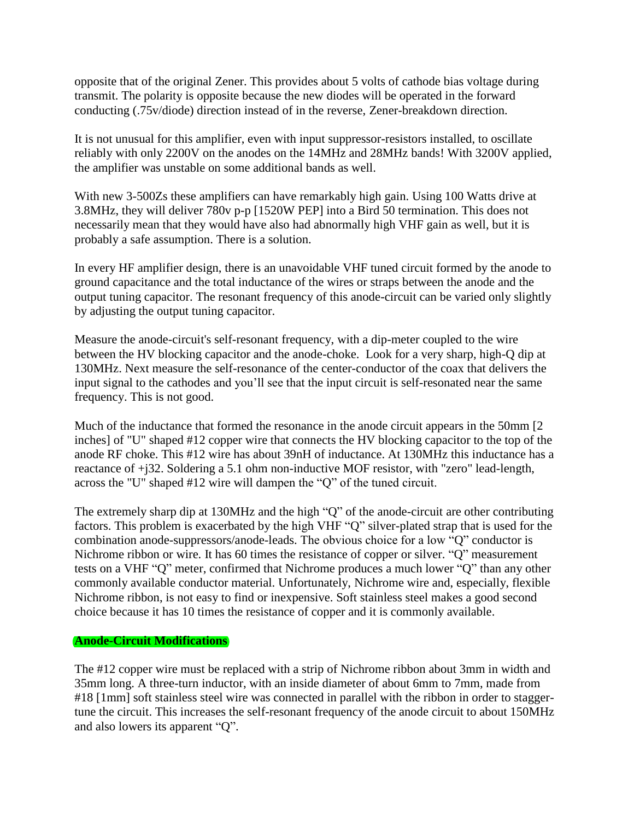opposite that of the original Zener. This provides about 5 volts of cathode bias voltage during transmit. The polarity is opposite because the new diodes will be operated in the forward conducting (.75v/diode) direction instead of in the reverse, Zener-breakdown direction.

It is not unusual for this amplifier, even with input suppressor-resistors installed, to oscillate reliably with only 2200V on the anodes on the 14MHz and 28MHz bands! With 3200V applied, the amplifier was unstable on some additional bands as well.

With new 3-500Zs these amplifiers can have remarkably high gain. Using 100 Watts drive at 3.8MHz, they will deliver 780v p-p [1520W PEP] into a Bird 50 termination. This does not necessarily mean that they would have also had abnormally high VHF gain as well, but it is probably a safe assumption. There is a solution.

In every HF amplifier design, there is an unavoidable VHF tuned circuit formed by the anode to ground capacitance and the total inductance of the wires or straps between the anode and the output tuning capacitor. The resonant frequency of this anode-circuit can be varied only slightly by adjusting the output tuning capacitor.

Measure the anode-circuit's self-resonant frequency, with a dip-meter coupled to the wire between the HV blocking capacitor and the anode-choke. Look for a very sharp, high-Q dip at 130MHz. Next measure the self-resonance of the center-conductor of the coax that delivers the input signal to the cathodes and you'll see that the input circuit is self-resonated near the same frequency. This is not good.

Much of the inductance that formed the resonance in the anode circuit appears in the 50mm [2 inches] of "U" shaped #12 copper wire that connects the HV blocking capacitor to the top of the anode RF choke. This #12 wire has about 39nH of inductance. At 130MHz this inductance has a reactance of +j32. Soldering a 5.1 ohm non-inductive MOF resistor, with "zero" lead-length, across the "U" shaped #12 wire will dampen the "Q" of the tuned circuit.

The extremely sharp dip at 130MHz and the high "Q" of the anode-circuit are other contributing factors. This problem is exacerbated by the high VHF "Q" silver-plated strap that is used for the combination anode-suppressors/anode-leads. The obvious choice for a low "Q" conductor is Nichrome ribbon or wire. It has 60 times the resistance of copper or silver. "Q" measurement tests on a VHF "Q" meter, confirmed that Nichrome produces a much lower "Q" than any other commonly available conductor material. Unfortunately, Nichrome wire and, especially, flexible Nichrome ribbon, is not easy to find or inexpensive. Soft stainless steel makes a good second choice because it has 10 times the resistance of copper and it is commonly available.

# **Anode-Circuit Modifications**

The #12 copper wire must be replaced with a strip of Nichrome ribbon about 3mm in width and 35mm long. A three-turn inductor, with an inside diameter of about 6mm to 7mm, made from #18 [1mm] soft stainless steel wire was connected in parallel with the ribbon in order to staggertune the circuit. This increases the self-resonant frequency of the anode circuit to about 150MHz and also lowers its apparent "Q".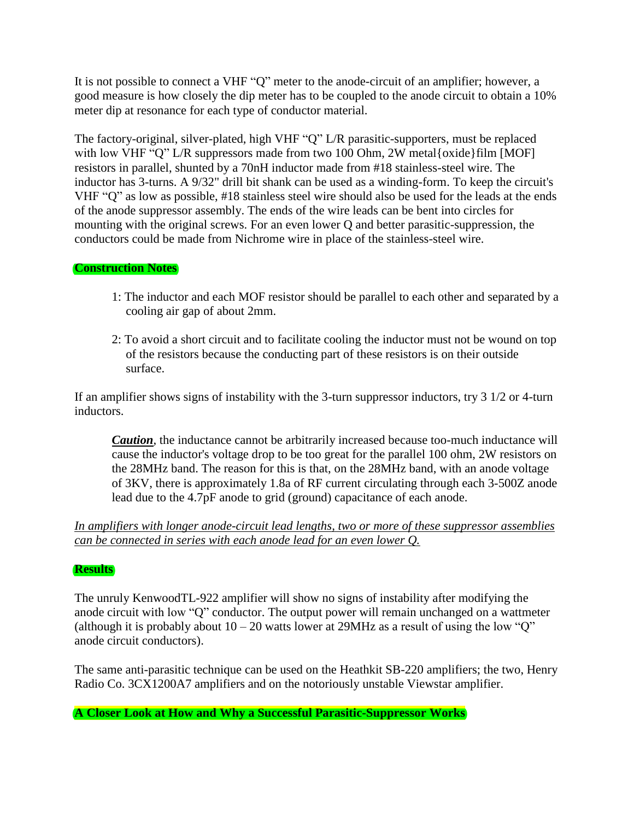It is not possible to connect a VHF "Q" meter to the anode-circuit of an amplifier; however, a good measure is how closely the dip meter has to be coupled to the anode circuit to obtain a 10% meter dip at resonance for each type of conductor material.

The factory-original, silver-plated, high VHF "Q" L/R parasitic-supporters, must be replaced with low VHF "Q" L/R suppressors made from two 100 Ohm, 2W metal{oxide}film [MOF] resistors in parallel, shunted by a 70nH inductor made from #18 stainless-steel wire. The inductor has 3-turns. A 9/32" drill bit shank can be used as a winding-form. To keep the circuit's VHF "Q" as low as possible, #18 stainless steel wire should also be used for the leads at the ends of the anode suppressor assembly. The ends of the wire leads can be bent into circles for mounting with the original screws. For an even lower Q and better parasitic-suppression, the conductors could be made from Nichrome wire in place of the stainless-steel wire.

# **Construction Notes**

- 1: The inductor and each MOF resistor should be parallel to each other and separated by a cooling air gap of about 2mm.
- 2: To avoid a short circuit and to facilitate cooling the inductor must not be wound on top of the resistors because the conducting part of these resistors is on their outside surface.

If an amplifier shows signs of instability with the 3-turn suppressor inductors, try 3 1/2 or 4-turn inductors.

*Caution*, the inductance cannot be arbitrarily increased because too-much inductance will cause the inductor's voltage drop to be too great for the parallel 100 ohm, 2W resistors on the 28MHz band. The reason for this is that, on the 28MHz band, with an anode voltage of 3KV, there is approximately 1.8a of RF current circulating through each 3-500Z anode lead due to the 4.7pF anode to grid (ground) capacitance of each anode.

# *In amplifiers with longer anode-circuit lead lengths, two or more of these suppressor assemblies can be connected in series with each anode lead for an even lower Q.*

# **Results**

The unruly KenwoodTL-922 amplifier will show no signs of instability after modifying the anode circuit with low "Q" conductor. The output power will remain unchanged on a wattmeter (although it is probably about  $10 - 20$  watts lower at 29MHz as a result of using the low "Q" anode circuit conductors).

The same anti-parasitic technique can be used on the Heathkit SB-220 amplifiers; the two, Henry Radio Co. 3CX1200A7 amplifiers and on the notoriously unstable Viewstar amplifier.

**A Closer Look at How and Why a Successful Parasitic-Suppressor Works**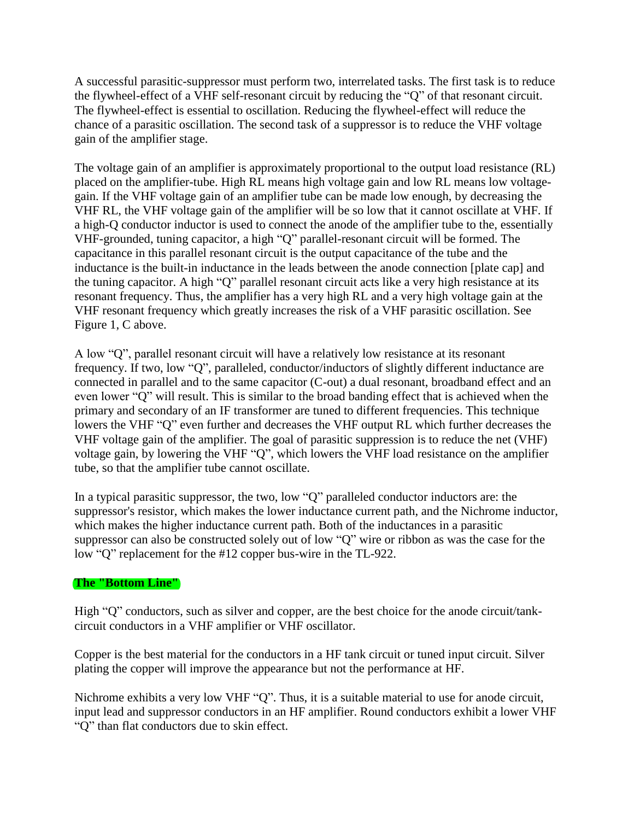A successful parasitic-suppressor must perform two, interrelated tasks. The first task is to reduce the flywheel-effect of a VHF self-resonant circuit by reducing the "Q" of that resonant circuit. The flywheel-effect is essential to oscillation. Reducing the flywheel-effect will reduce the chance of a parasitic oscillation. The second task of a suppressor is to reduce the VHF voltage gain of the amplifier stage.

The voltage gain of an amplifier is approximately proportional to the output load resistance (RL) placed on the amplifier-tube. High RL means high voltage gain and low RL means low voltagegain. If the VHF voltage gain of an amplifier tube can be made low enough, by decreasing the VHF RL, the VHF voltage gain of the amplifier will be so low that it cannot oscillate at VHF. If a high-Q conductor inductor is used to connect the anode of the amplifier tube to the, essentially VHF-grounded, tuning capacitor, a high "Q" parallel-resonant circuit will be formed. The capacitance in this parallel resonant circuit is the output capacitance of the tube and the inductance is the built-in inductance in the leads between the anode connection [plate cap] and the tuning capacitor. A high "Q" parallel resonant circuit acts like a very high resistance at its resonant frequency. Thus, the amplifier has a very high RL and a very high voltage gain at the VHF resonant frequency which greatly increases the risk of a VHF parasitic oscillation. Se[e](http://www.somis.org/Fig.1abc.GIF) Figure 1, C above.

A low "Q", parallel resonant circuit will have a relatively low resistance at its resonant frequency. If two, low "Q", paralleled, conductor/inductors of slightly different inductance are connected in parallel and to the same capacitor (C-out) a dual resonant, broadband effect and an even lower "Q" will result. This is similar to the broad banding effect that is achieved when the primary and secondary of an IF transformer are tuned to different frequencies. This technique lowers the VHF "Q" even further and decreases the VHF output RL which further decreases the VHF voltage gain of the amplifier. The goal of parasitic suppression is to reduce the net (VHF) voltage gain, by lowering the VHF "Q", which lowers the VHF load resistance on the amplifier tube, so that the amplifier tube cannot oscillate.

In a typical parasitic suppressor, the two, low "Q" paralleled conductor inductors are: the suppressor's resistor, which makes the lower inductance current path, and the Nichrome inductor, which makes the higher inductance current path. Both of the inductances in a parasitic suppressor can also be constructed solely out of low "Q" wire or ribbon as was the case for the low "Q" replacement for the #12 copper bus-wire in the TL-922.

# **The "Bottom Line"**

High "Q" conductors, such as silver and copper, are the best choice for the anode circuit/tankcircuit conductors in a VHF amplifier or VHF oscillator.

Copper is the best material for the conductors in a HF tank circuit or tuned input circuit. Silver plating the copper will improve the appearance but not the performance at HF.

Nichrome exhibits a very low VHF "Q". Thus, it is a suitable material to use for anode circuit, input lead and suppressor conductors in an HF amplifier. Round conductors exhibit a lower VHF "Q" than flat conductors due to skin effect.